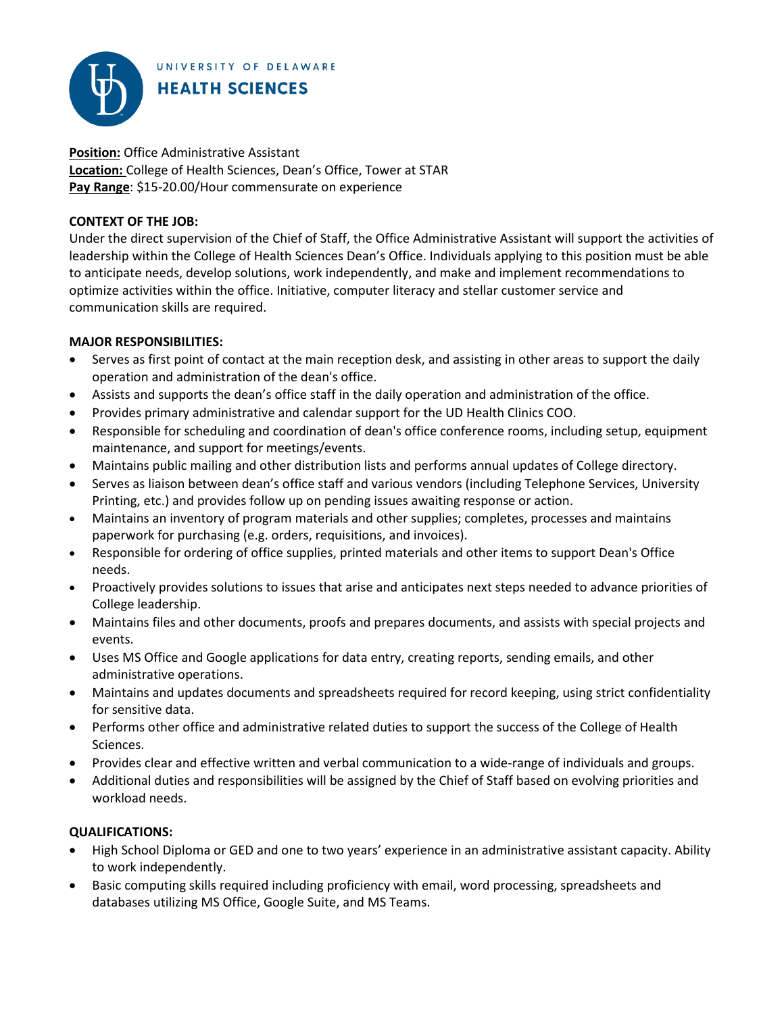UNIVERSITY OF DELAWARE



**Position:** Office Administrative Assistant **Location:** College of Health Sciences, Dean's Office, Tower at STAR **Pay Range**: \$15-20.00/Hour commensurate on experience

## **CONTEXT OF THE JOB:**

Under the direct supervision of the Chief of Staff, the Office Administrative Assistant will support the activities of leadership within the College of Health Sciences Dean's Office. Individuals applying to this position must be able to anticipate needs, develop solutions, work independently, and make and implement recommendations to optimize activities within the office. Initiative, computer literacy and stellar customer service and communication skills are required.

## **MAJOR RESPONSIBILITIES:**

- Serves as first point of contact at the main reception desk, and assisting in other areas to support the daily operation and administration of the dean's office.
- Assists and supports the dean's office staff in the daily operation and administration of the office.
- Provides primary administrative and calendar support for the UD Health Clinics COO.
- Responsible for scheduling and coordination of dean's office conference rooms, including setup, equipment maintenance, and support for meetings/events.
- Maintains public mailing and other distribution lists and performs annual updates of College directory.
- Serves as liaison between dean's office staff and various vendors (including Telephone Services, University Printing, etc.) and provides follow up on pending issues awaiting response or action.
- Maintains an inventory of program materials and other supplies; completes, processes and maintains paperwork for purchasing (e.g. orders, requisitions, and invoices).
- Responsible for ordering of office supplies, printed materials and other items to support Dean's Office needs.
- Proactively provides solutions to issues that arise and anticipates next steps needed to advance priorities of College leadership.
- Maintains files and other documents, proofs and prepares documents, and assists with special projects and events.
- Uses MS Office and Google applications for data entry, creating reports, sending emails, and other administrative operations.
- Maintains and updates documents and spreadsheets required for record keeping, using strict confidentiality for sensitive data.
- Performs other office and administrative related duties to support the success of the College of Health Sciences.
- Provides clear and effective written and verbal communication to a wide-range of individuals and groups.
- Additional duties and responsibilities will be assigned by the Chief of Staff based on evolving priorities and workload needs.

## **QUALIFICATIONS:**

- High School Diploma or GED and one to two years' experience in an administrative assistant capacity. Ability to work independently.
- Basic computing skills required including proficiency with email, word processing, spreadsheets and databases utilizing MS Office, Google Suite, and MS Teams.